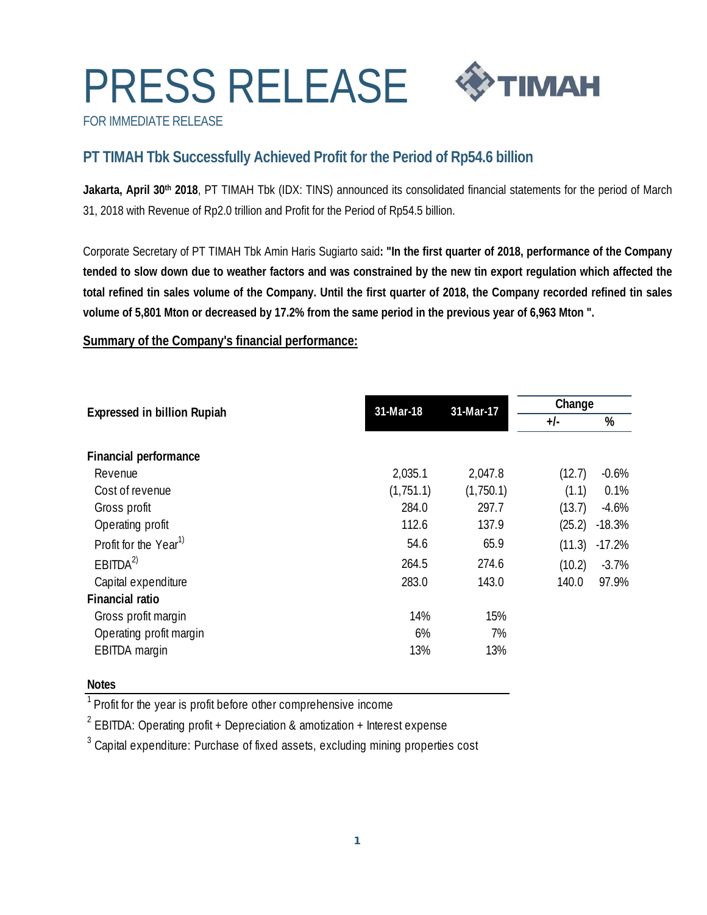# PRESS RELEASE



FOR IMMEDIATE RELEASE

## **PT TIMAH Tbk Successfully Achieved Profit for the Period of Rp54.6 billion**

Jakarta, April 30<sup>th</sup> 2018, PT TIMAH Tbk (IDX: TINS) announced its consolidated financial statements for the period of March 31, 2018 with Revenue of Rp2.0 trillion and Profit for the Period of Rp54.5 billion.

Corporate Secretary of PT TIMAH Tbk Amin Haris Sugiarto said**: "In the first quarter of 2018, performance of the Company tended to slow down due to weather factors and was constrained by the new tin export regulation which affected the total refined tin sales volume of the Company. Until the first quarter of 2018, the Company recorded refined tin sales volume of 5,801 Mton or decreased by 17.2% from the same period in the previous year of 6,963 Mton ".** 

**Summary of the Company's financial performance:**

|                                    | 31-Mar-18 | 31-Mar-17 | Change |          |
|------------------------------------|-----------|-----------|--------|----------|
| <b>Expressed in billion Rupiah</b> |           |           | $+/-$  | %        |
| Financial performance              |           |           |        |          |
| Revenue                            | 2,035.1   | 2,047.8   | (12.7) | $-0.6%$  |
| Cost of revenue                    | (1,751.1) | (1,750.1) | (1.1)  | 0.1%     |
| Gross profit                       | 284.0     | 297.7     | (13.7) | $-4.6%$  |
| Operating profit                   | 112.6     | 137.9     | (25.2) | $-18.3%$ |
| Profit for the Year <sup>1)</sup>  | 54.6      | 65.9      | (11.3) | $-17.2%$ |
| EBITDA <sup>2</sup>                | 264.5     | 274.6     | (10.2) | $-3.7\%$ |
| Capital expenditure                | 283.0     | 143.0     | 140.0  | 97.9%    |
| <b>Financial ratio</b>             |           |           |        |          |
| Gross profit margin                | 14%       | 15%       |        |          |
| Operating profit margin            | 6%        | 7%        |        |          |
| EBITDA margin                      | 13%       | 13%       |        |          |

### **Notes**

<sup>1</sup> Profit for the year is profit before other comprehensive income

<sup>2</sup> EBITDA: Operating profit + Depreciation & amotization + Interest expense

 $^3$  Capital expenditure: Purchase of fixed assets, excluding mining properties cost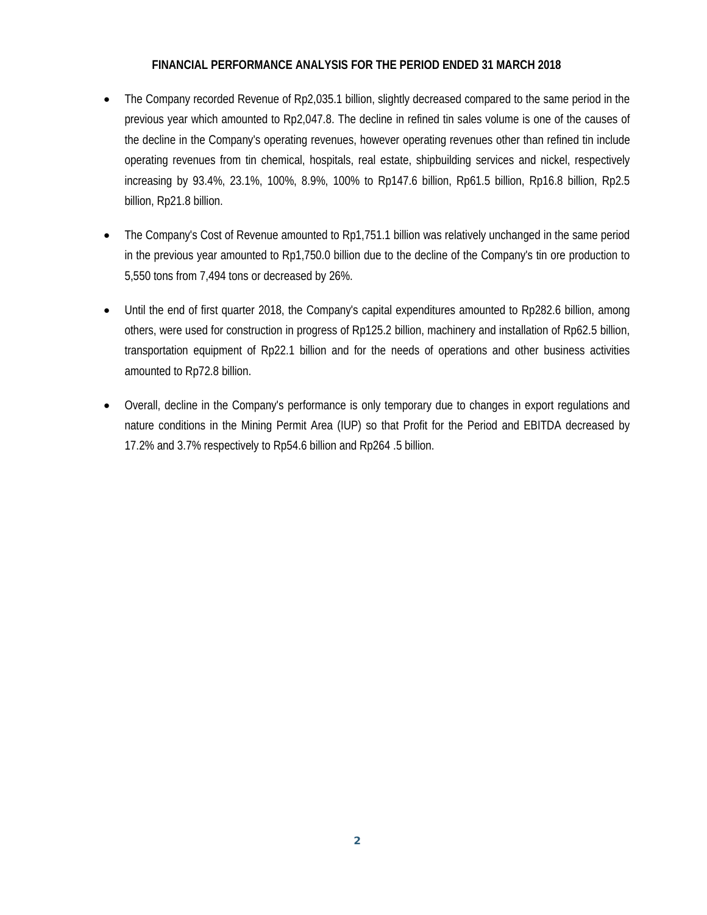#### **FINANCIAL PERFORMANCE ANALYSIS FOR THE PERIOD ENDED 31 MARCH 2018**

- The Company recorded Revenue of Rp2,035.1 billion, slightly decreased compared to the same period in the previous year which amounted to Rp2,047.8. The decline in refined tin sales volume is one of the causes of the decline in the Company's operating revenues, however operating revenues other than refined tin include operating revenues from tin chemical, hospitals, real estate, shipbuilding services and nickel, respectively increasing by 93.4%, 23.1%, 100%, 8.9%, 100% to Rp147.6 billion, Rp61.5 billion, Rp16.8 billion, Rp2.5 billion, Rp21.8 billion.
- The Company's Cost of Revenue amounted to Rp1,751.1 billion was relatively unchanged in the same period in the previous year amounted to Rp1,750.0 billion due to the decline of the Company's tin ore production to 5,550 tons from 7,494 tons or decreased by 26%.
- Until the end of first quarter 2018, the Company's capital expenditures amounted to Rp282.6 billion, among others, were used for construction in progress of Rp125.2 billion, machinery and installation of Rp62.5 billion, transportation equipment of Rp22.1 billion and for the needs of operations and other business activities amounted to Rp72.8 billion.
- Overall, decline in the Company's performance is only temporary due to changes in export regulations and nature conditions in the Mining Permit Area (IUP) so that Profit for the Period and EBITDA decreased by 17.2% and 3.7% respectively to Rp54.6 billion and Rp264 .5 billion.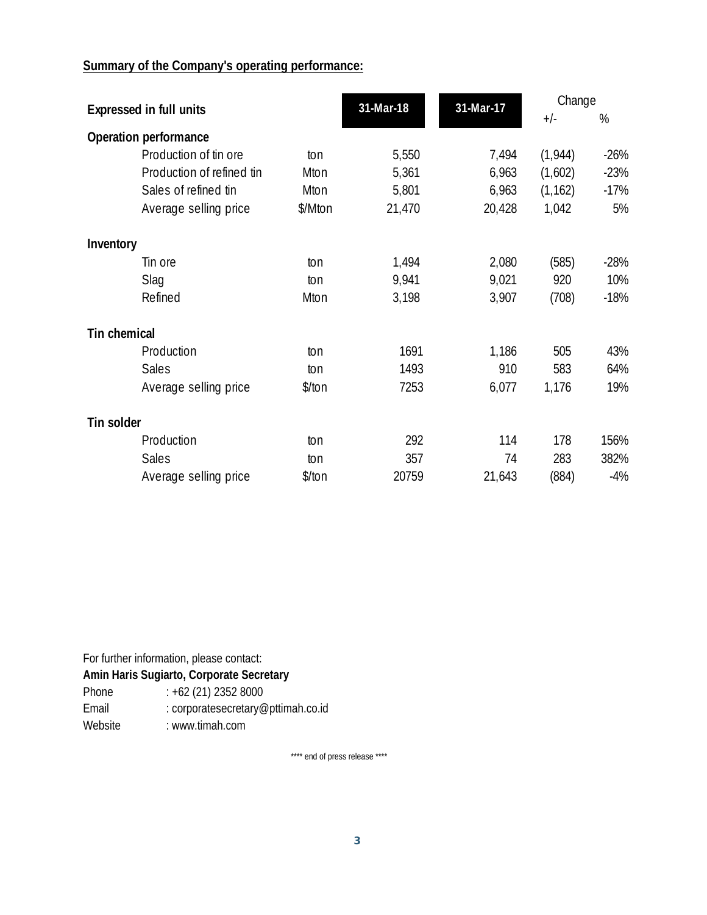## **Summary of the Company's operating performance:**

| <b>Expressed in full units</b> |                           | 31-Mar-18 | 31-Mar-17 | Change |          |        |
|--------------------------------|---------------------------|-----------|-----------|--------|----------|--------|
|                                |                           |           |           | $+/-$  | %        |        |
|                                | Operation performance     |           |           |        |          |        |
|                                | Production of tin ore     | ton       | 5,550     | 7,494  | (1, 944) | $-26%$ |
|                                | Production of refined tin | Mton      | 5,361     | 6,963  | (1,602)  | $-23%$ |
|                                | Sales of refined tin      | Mton      | 5,801     | 6,963  | (1, 162) | $-17%$ |
|                                | Average selling price     | \$/Mton   | 21,470    | 20,428 | 1,042    | 5%     |
| Inventory                      |                           |           |           |        |          |        |
|                                | Tin ore                   | ton       | 1,494     | 2,080  | (585)    | $-28%$ |
|                                | Slag                      | ton       | 9,941     | 9,021  | 920      | 10%    |
|                                | Refined                   | Mton      | 3,198     | 3,907  | (708)    | $-18%$ |
| Tin chemical                   |                           |           |           |        |          |        |
|                                | Production                | ton       | 1691      | 1,186  | 505      | 43%    |
|                                | <b>Sales</b>              | ton       | 1493      | 910    | 583      | 64%    |
|                                | Average selling price     | \$/ton    | 7253      | 6,077  | 1,176    | 19%    |
| Tin solder                     |                           |           |           |        |          |        |
|                                | Production                | ton       | 292       | 114    | 178      | 156%   |
|                                | <b>Sales</b>              | ton       | 357       | 74     | 283      | 382%   |
|                                | Average selling price     | \$/ton    | 20759     | 21,643 | (884)    | $-4%$  |

For further information, please contact:

**Amin Haris Sugiarto, Corporate Secretary** 

Phone  $\therefore$  +62 (21) 2352 8000<br>Email  $\therefore$  corporatesecretary

: corporatesecretary@pttimah.co.id

Website : www.timah.com

\*\*\*\* end of press release \*\*\*\*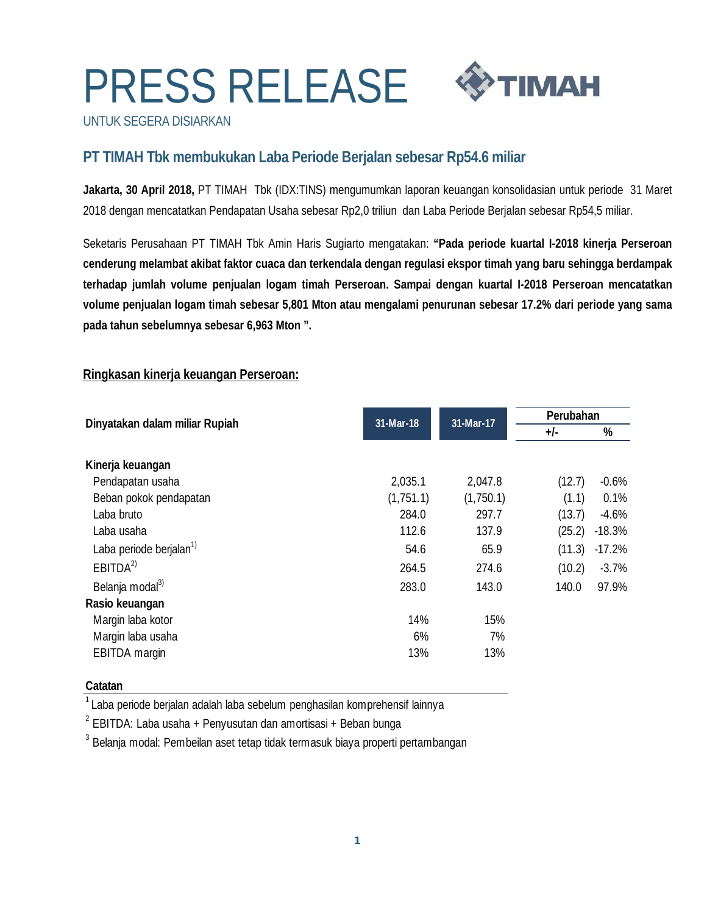# PRESS RELEASE



UNTUK SEGERA DISIARKAN

## **PT TIMAH Tbk membukukan Laba Periode Berjalan sebesar Rp54.6 miliar**

**Jakarta, 30 April 2018,** PT TIMAH Tbk (IDX:TINS) mengumumkan laporan keuangan konsolidasian untuk periode 31 Maret 2018 dengan mencatatkan Pendapatan Usaha sebesar Rp2,0 triliun dan Laba Periode Berjalan sebesar Rp54,5 miliar.

Seketaris Perusahaan PT TIMAH Tbk Amin Haris Sugiarto mengatakan: **"Pada periode kuartal I-2018 kinerja Perseroan cenderung melambat akibat faktor cuaca dan terkendala dengan regulasi ekspor timah yang baru sehingga berdampak terhadap jumlah volume penjualan logam timah Perseroan. Sampai dengan kuartal I-2018 Perseroan mencatatkan volume penjualan logam timah sebesar 5,801 Mton atau mengalami penurunan sebesar 17.2% dari periode yang sama pada tahun sebelumnya sebesar 6,963 Mton ".** 

### **Ringkasan kinerja keuangan Perseroan:**

|           |           | Perubahan |          |
|-----------|-----------|-----------|----------|
|           |           | $+/-$     | %        |
|           |           |           |          |
|           |           |           |          |
| 2,035.1   | 2,047.8   | (12.7)    | $-0.6%$  |
| (1,751.1) | (1,750.1) | (1.1)     | 0.1%     |
| 284.0     | 297.7     | (13.7)    | $-4.6%$  |
| 112.6     | 137.9     | (25.2)    | $-18.3%$ |
| 54.6      | 65.9      | (11.3)    | $-17.2%$ |
| 264.5     | 274.6     | (10.2)    | $-3.7%$  |
| 283.0     | 143.0     | 140.0     | 97.9%    |
|           |           |           |          |
| 14%       | 15%       |           |          |
| 6%        | 7%        |           |          |
| 13%       | 13%       |           |          |
|           | 31-Mar-18 | 31-Mar-17 |          |

### **Catatan**

 $1$ Laba periode berjalan adalah laba sebelum penghasilan komprehensif lainnya

 $2$  EBITDA: Laba usaha + Penyusutan dan amortisasi + Beban bunga

 $3$  Belanja modal: Pembeilan aset tetap tidak termasuk biaya properti pertambangan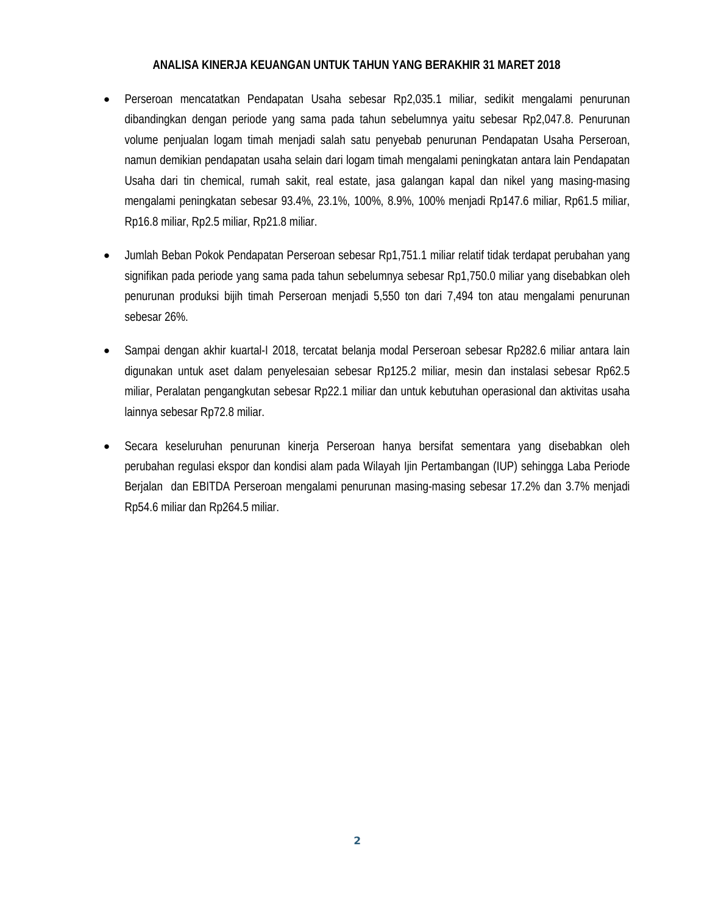#### **ANALISA KINERJA KEUANGAN UNTUK TAHUN YANG BERAKHIR 31 MARET 2018**

- Perseroan mencatatkan Pendapatan Usaha sebesar Rp2,035.1 miliar, sedikit mengalami penurunan dibandingkan dengan periode yang sama pada tahun sebelumnya yaitu sebesar Rp2,047.8. Penurunan volume penjualan logam timah menjadi salah satu penyebab penurunan Pendapatan Usaha Perseroan, namun demikian pendapatan usaha selain dari logam timah mengalami peningkatan antara lain Pendapatan Usaha dari tin chemical, rumah sakit, real estate, jasa galangan kapal dan nikel yang masing-masing mengalami peningkatan sebesar 93.4%, 23.1%, 100%, 8.9%, 100% menjadi Rp147.6 miliar, Rp61.5 miliar, Rp16.8 miliar, Rp2.5 miliar, Rp21.8 miliar.
- Jumlah Beban Pokok Pendapatan Perseroan sebesar Rp1,751.1 miliar relatif tidak terdapat perubahan yang signifikan pada periode yang sama pada tahun sebelumnya sebesar Rp1,750.0 miliar yang disebabkan oleh penurunan produksi bijih timah Perseroan menjadi 5,550 ton dari 7,494 ton atau mengalami penurunan sebesar 26%.
- Sampai dengan akhir kuartal-I 2018, tercatat belanja modal Perseroan sebesar Rp282.6 miliar antara lain digunakan untuk aset dalam penyelesaian sebesar Rp125.2 miliar, mesin dan instalasi sebesar Rp62.5 miliar, Peralatan pengangkutan sebesar Rp22.1 miliar dan untuk kebutuhan operasional dan aktivitas usaha lainnya sebesar Rp72.8 miliar.
- Secara keseluruhan penurunan kinerja Perseroan hanya bersifat sementara yang disebabkan oleh perubahan regulasi ekspor dan kondisi alam pada Wilayah Ijin Pertambangan (IUP) sehingga Laba Periode Berjalan dan EBITDA Perseroan mengalami penurunan masing-masing sebesar 17.2% dan 3.7% menjadi Rp54.6 miliar dan Rp264.5 miliar.